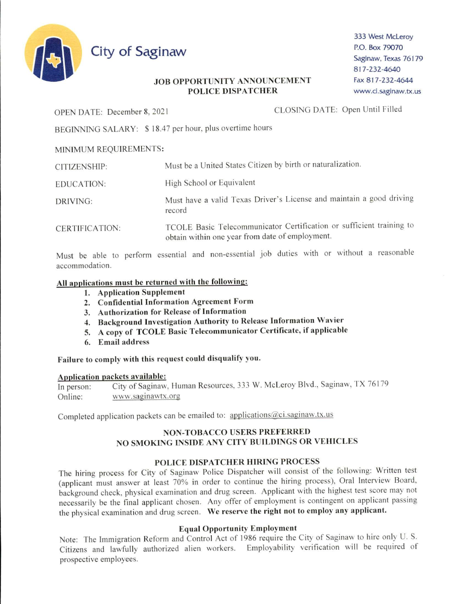

333 West McLeroy P.O. Box 79070 Saginaw, Texas 76179 817-232-4640 Fax 817-232-4644 www.ci.saginaw.tx.us

## **JOB OPPORTUNITY ANNOUNCEMENT POLICE DISPATCHER**

OPEN DATE: December 8, 2021

CLOSING DATE: Open Until Filled

BEGINNING SALARY: \$18.47 per hour, plus overtime hours

## MINIMUM REQUIREMENTS:

| CITIZENSHIP:      | Must be a United States Citizen by birth or naturalization.                                                             |
|-------------------|-------------------------------------------------------------------------------------------------------------------------|
| <b>EDUCATION:</b> | High School or Equivalent                                                                                               |
| DRIVING:          | Must have a valid Texas Driver's License and maintain a good driving<br>record                                          |
| CERTIFICATION:    | TCOLE Basic Telecommunicator Certification or sufficient training to<br>obtain within one year from date of employment. |

Must be able to perform essential and non-essential job duties with or without a reasonable accommodation.

## All applications must be returned with the following:

- 1. Application Supplement
- 2. Confidential Information Agreement Form
- 3. Authorization for Release of Information
- 4. Background Investigation Authority to Release Information Wavier
- 5. A copy of TCOLE Basic Telecommunicator Certificate, if applicable
- 6. Email address

# Failure to comply with this request could disqualify you.

## Application packets available:

City of Saginaw, Human Resources, 333 W. McLeroy Blvd., Saginaw, TX 76179 In person: www.saginawtx.org Online:

Completed application packets can be emailed to: applications@ci.saginaw.tx.us

# **NON-TOBACCO USERS PREFERRED** NO SMOKING INSIDE ANY CITY BUILDINGS OR VEHICLES

# POLICE DISPATCHER HIRING PROCESS

The hiring process for City of Saginaw Police Dispatcher will consist of the following: Written test (applicant must answer at least 70% in order to continue the hiring process), Oral Interview Board, background check, physical examination and drug screen. Applicant with the highest test score may not necessarily be the final applicant chosen. Any offer of employment is contingent on applicant passing the physical examination and drug screen. We reserve the right not to employ any applicant.

### **Equal Opportunity Employment**

Note: The Immigration Reform and Control Act of 1986 require the City of Saginaw to hire only U.S. Citizens and lawfully authorized alien workers. Employability verification will be required of prospective employees.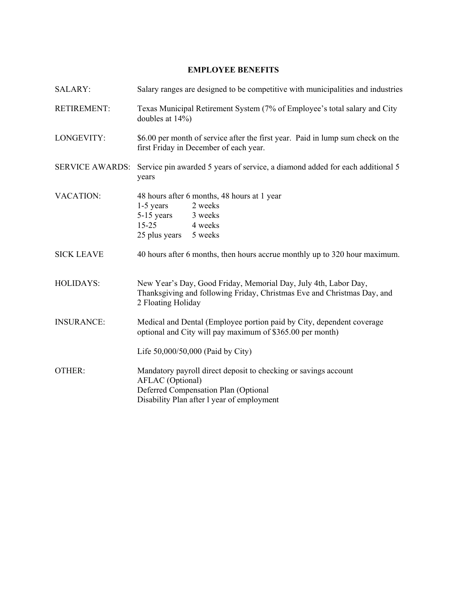### **EMPLOYEE BENEFITS**

| <b>SALARY:</b>         | Salary ranges are designed to be competitive with municipalities and industries                                                                                                  |
|------------------------|----------------------------------------------------------------------------------------------------------------------------------------------------------------------------------|
| <b>RETIREMENT:</b>     | Texas Municipal Retirement System (7% of Employee's total salary and City<br>doubles at 14%)                                                                                     |
| LONGEVITY:             | \$6.00 per month of service after the first year. Paid in lump sum check on the<br>first Friday in December of each year.                                                        |
| <b>SERVICE AWARDS:</b> | Service pin awarded 5 years of service, a diamond added for each additional 5<br>years                                                                                           |
| <b>VACATION:</b>       | 48 hours after 6 months, 48 hours at 1 year<br>1-5 years<br>2 weeks<br>5-15 years<br>3 weeks<br>$15 - 25$<br>4 weeks<br>25 plus years 5 weeks                                    |
| <b>SICK LEAVE</b>      | 40 hours after 6 months, then hours accrue monthly up to 320 hour maximum.                                                                                                       |
| <b>HOLIDAYS:</b>       | New Year's Day, Good Friday, Memorial Day, July 4th, Labor Day,<br>Thanksgiving and following Friday, Christmas Eve and Christmas Day, and<br>2 Floating Holiday                 |
| <b>INSURANCE:</b>      | Medical and Dental (Employee portion paid by City, dependent coverage<br>optional and City will pay maximum of \$365.00 per month)                                               |
|                        | Life 50,000/50,000 (Paid by City)                                                                                                                                                |
| OTHER:                 | Mandatory payroll direct deposit to checking or savings account<br><b>AFLAC</b> (Optional)<br>Deferred Compensation Plan (Optional<br>Disability Plan after 1 year of employment |